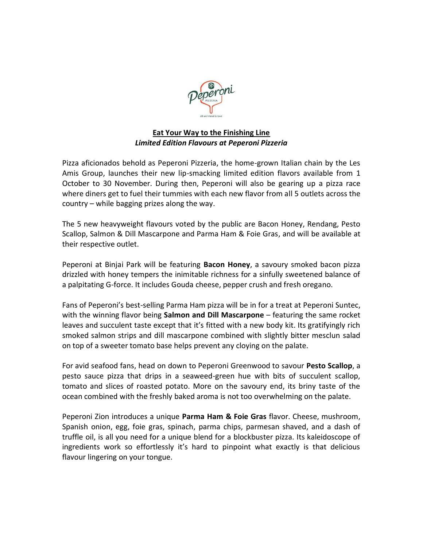

## **Eat Your Way to the Finishing Line** *Limited Edition Flavours at Peperoni Pizzeria*

Pizza aficionados behold as Peperoni Pizzeria, the home-grown Italian chain by the Les Amis Group, launches their new lip-smacking limited edition flavors available from 1 October to 30 November. During then, Peperoni will also be gearing up a pizza race where diners get to fuel their tummies with each new flavor from all 5 outlets across the country – while bagging prizes along the way.

The 5 new heavyweight flavours voted by the public are Bacon Honey, Rendang, Pesto Scallop, Salmon & Dill Mascarpone and Parma Ham & Foie Gras, and will be available at their respective outlet.

Peperoni at Binjai Park will be featuring **Bacon Honey**, a savoury smoked bacon pizza drizzled with honey tempers the inimitable richness for a sinfully sweetened balance of a palpitating G-force. It includes Gouda cheese, pepper crush and fresh oregano.

Fans of Peperoni's best-selling Parma Ham pizza will be in for a treat at Peperoni Suntec, with the winning flavor being **Salmon and Dill Mascarpone** – featuring the same rocket leaves and succulent taste except that it's fitted with a new body kit. Its gratifyingly rich smoked salmon strips and dill mascarpone combined with slightly bitter mesclun salad on top of a sweeter tomato base helps prevent any cloying on the palate.

For avid seafood fans, head on down to Peperoni Greenwood to savour **Pesto Scallop**, a pesto sauce pizza that drips in a seaweed-green hue with bits of succulent scallop, tomato and slices of roasted potato. More on the savoury end, its briny taste of the ocean combined with the freshly baked aroma is not too overwhelming on the palate.

Peperoni Zion introduces a unique **Parma Ham & Foie Gras** flavor. Cheese, mushroom, Spanish onion, egg, foie gras, spinach, parma chips, parmesan shaved, and a dash of truffle oil, is all you need for a unique blend for a blockbuster pizza. Its kaleidoscope of ingredients work so effortlessly it's hard to pinpoint what exactly is that delicious flavour lingering on your tongue.